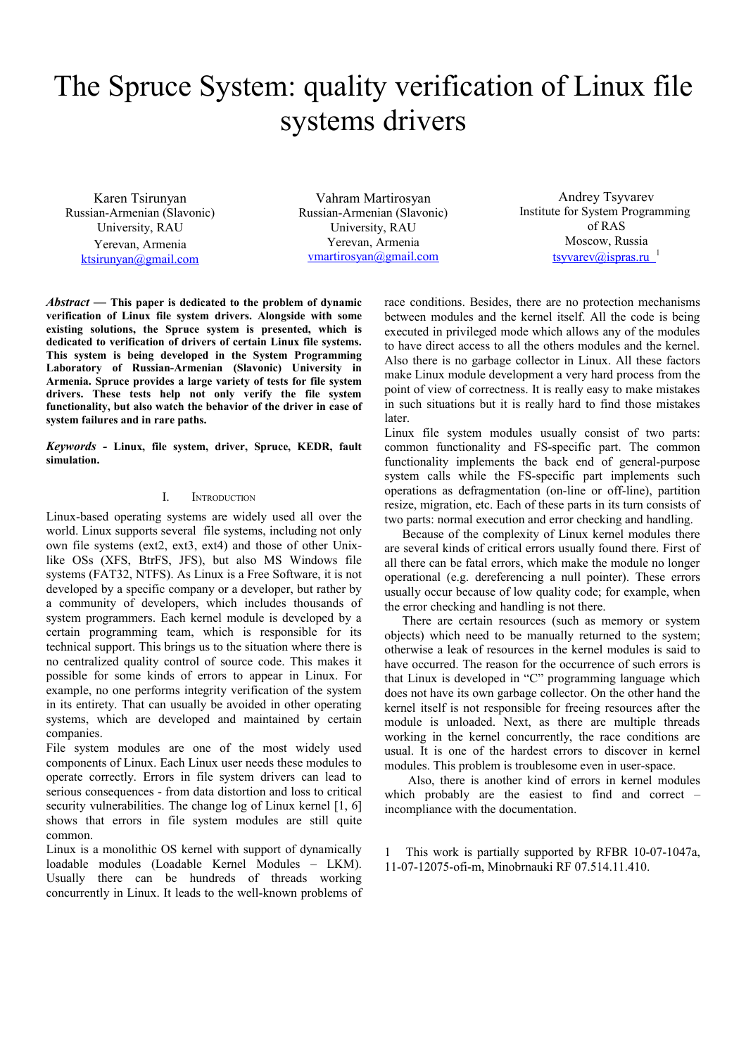# The Spruce System: quality verification of Linux file systems drivers

Karen Tsirunyan Russian-Armenian (Slavonic) University, RAU Yerevan, Armenia [ktsirunyan@gmail.com](mailto:ktsirunyan@gmail.com)

Vahram Martirosyan Russian-Armenian (Slavonic) University, RAU Yerevan, Armenia [vmartirosyan@gmail.com](mailto:vmartirosyan@gmail.com)

Andrey Tsyvarev Institute for System Programming of RAS Moscow, Russia <u>tsyvarev@ispras.ru</u><sup>1</sup>

*Abstract* **— This paper is dedicated to the problem of dynamic verification of Linux file system drivers. Alongside with some existing solutions, the Spruce system is presented, which is dedicated to verification of drivers of certain Linux file systems. This system is being developed in the System Programming Laboratory of Russian-Armenian (Slavonic) University in Armenia. Spruce provides a large variety of tests for file system drivers. These tests help not only verify the file system functionality, but also watch the behavior of the driver in case of system failures and in rare paths.**

*Keywords -* **Linux, file system, driver, Spruce, KEDR, fault simulation.**

### I. INTRODUCTION

Linux-based operating systems are widely used all over the world. Linux supports several file systems, including not only own file systems (ext2, ext3, ext4) and those of other Unixlike OSs (XFS, BtrFS, JFS), but also MS Windows file systems (FAT32, NTFS). As Linux is a Free Software, it is not developed by a specific company or a developer, but rather by a community of developers, which includes thousands of system programmers. Each kernel module is developed by a certain programming team, which is responsible for its technical support. This brings us to the situation where there is no centralized quality control of source code. This makes it possible for some kinds of errors to appear in Linux. For example, no one performs integrity verification of the system in its entirety. That can usually be avoided in other operating systems, which are developed and maintained by certain companies.

File system modules are one of the most widely used components of Linux. Each Linux user needs these modules to operate correctly. Errors in file system drivers can lead to serious consequences - from data distortion and loss to critical security vulnerabilities. The change log of Linux kernel [1, 6] shows that errors in file system modules are still quite common.

Linux is a monolithic OS kernel with support of dynamically loadable modules (Loadable Kernel Modules – LKM). Usually there can be hundreds of threads working concurrently in Linux. It leads to the well-known problems of race conditions. Besides, there are no protection mechanisms between modules and the kernel itself. All the code is being executed in privileged mode which allows any of the modules to have direct access to all the others modules and the kernel. Also there is no garbage collector in Linux. All these factors make Linux module development a very hard process from the point of view of correctness. It is really easy to make mistakes in such situations but it is really hard to find those mistakes later.

Linux file system modules usually consist of two parts: common functionality and FS-specific part. The common functionality implements the back end of general-purpose system calls while the FS-specific part implements such operations as defragmentation (on-line or off-line), partition resize, migration, etc. Each of these parts in its turn consists of two parts: normal execution and error checking and handling.

Because of the complexity of Linux kernel modules there are several kinds of critical errors usually found there. First of all there can be fatal errors, which make the module no longer operational (e.g. dereferencing a null pointer). These errors usually occur because of low quality code; for example, when the error checking and handling is not there.

There are certain resources (such as memory or system objects) which need to be manually returned to the system; otherwise a leak of resources in the kernel modules is said to have occurred. The reason for the occurrence of such errors is that Linux is developed in "C" programming language which does not have its own garbage collector. On the other hand the kernel itself is not responsible for freeing resources after the module is unloaded. Next, as there are multiple threads working in the kernel concurrently, the race conditions are usual. It is one of the hardest errors to discover in kernel modules. This problem is troublesome even in user-space.

 Also, there is another kind of errors in kernel modules which probably are the easiest to find and correct – incompliance with the documentation.

1 This work is partially supported by RFBR 10-07-1047a, 11-07-12075-ofi-m, Minobrnauki RF 07.514.11.410.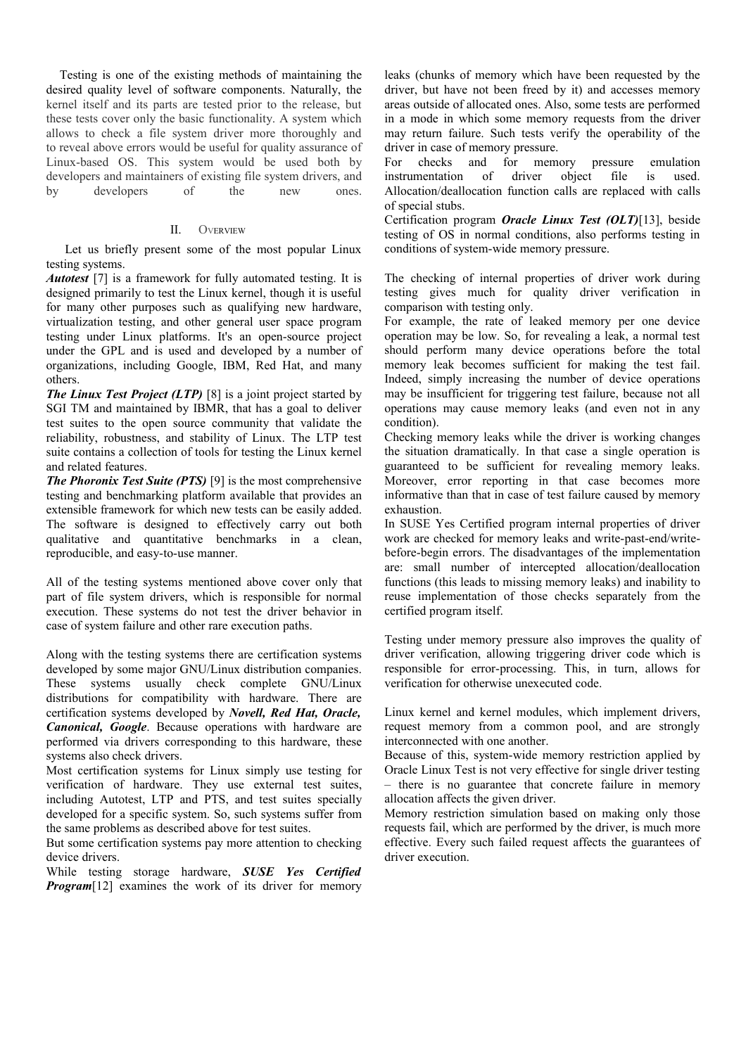Testing is one of the existing methods of maintaining the desired quality level of software components. Naturally, the kernel itself and its parts are tested prior to the release, but these tests cover only the basic functionality. A system which allows to check a file system driver more thoroughly and to reveal above errors would be useful for quality assurance of Linux-based OS. This system would be used both by developers and maintainers of existing file system drivers, and by developers of the new ones.

# II. OVERVIEW

Let us briefly present some of the most popular Linux testing systems.

*Autotest* [7] is a framework for fully automated testing. It is designed primarily to test the Linux kernel, though it is useful for many other purposes such as qualifying new hardware, virtualization testing, and other general user space program testing under Linux platforms. It's an open-source project under the GPL and is used and developed by a number of organizations, including Google, IBM, Red Hat, and many others.

*The Linux Test Project (LTP)* [8] is a joint project started by SGI TM and maintained by IBMR, that has a goal to deliver test suites to the open source community that validate the reliability, robustness, and stability of Linux. The LTP test suite contains a collection of tools for testing the Linux kernel and related features.

*The Phoronix Test Suite (PTS)* [9] is the most comprehensive testing and benchmarking platform available that provides an extensible framework for which new tests can be easily added. The software is designed to effectively carry out both qualitative and quantitative benchmarks in a clean, reproducible, and easy-to-use manner.

All of the testing systems mentioned above cover only that part of file system drivers, which is responsible for normal execution. These systems do not test the driver behavior in case of system failure and other rare execution paths.

Along with the testing systems there are certification systems developed by some major GNU/Linux distribution companies. These systems usually check complete GNU/Linux distributions for compatibility with hardware. There are certification systems developed by *Novell, Red Hat, Oracle, Canonical, Google*. Because operations with hardware are performed via drivers corresponding to this hardware, these systems also check drivers.

Most certification systems for Linux simply use testing for verification of hardware. They use external test suites, including Autotest, LTP and PTS, and test suites specially developed for a specific system. So, such systems suffer from the same problems as described above for test suites.

But some certification systems pay more attention to checking device drivers.

While testing storage hardware, *SUSE Yes Certified Program*[12] examines the work of its driver for memory leaks (chunks of memory which have been requested by the driver, but have not been freed by it) and accesses memory areas outside of allocated ones. Also, some tests are performed in a mode in which some memory requests from the driver may return failure. Such tests verify the operability of the driver in case of memory pressure.

For checks and for memory pressure emulation instrumentation of driver object file is used Allocation/deallocation function calls are replaced with calls of special stubs.

Certification program *Oracle Linux Test (OLT)*[13], beside testing of OS in normal conditions, also performs testing in conditions of system-wide memory pressure.

The checking of internal properties of driver work during testing gives much for quality driver verification in comparison with testing only.

For example, the rate of leaked memory per one device operation may be low. So, for revealing a leak, a normal test should perform many device operations before the total memory leak becomes sufficient for making the test fail. Indeed, simply increasing the number of device operations may be insufficient for triggering test failure, because not all operations may cause memory leaks (and even not in any condition).

Checking memory leaks while the driver is working changes the situation dramatically. In that case a single operation is guaranteed to be sufficient for revealing memory leaks. Moreover, error reporting in that case becomes more informative than that in case of test failure caused by memory exhaustion.

In SUSE Yes Certified program internal properties of driver work are checked for memory leaks and write-past-end/writebefore-begin errors. The disadvantages of the implementation are: small number of intercepted allocation/deallocation functions (this leads to missing memory leaks) and inability to reuse implementation of those checks separately from the certified program itself.

Testing under memory pressure also improves the quality of driver verification, allowing triggering driver code which is responsible for error-processing. This, in turn, allows for verification for otherwise unexecuted code.

Linux kernel and kernel modules, which implement drivers, request memory from a common pool, and are strongly interconnected with one another.

Because of this, system-wide memory restriction applied by Oracle Linux Test is not very effective for single driver testing – there is no guarantee that concrete failure in memory allocation affects the given driver.

Memory restriction simulation based on making only those requests fail, which are performed by the driver, is much more effective. Every such failed request affects the guarantees of driver execution.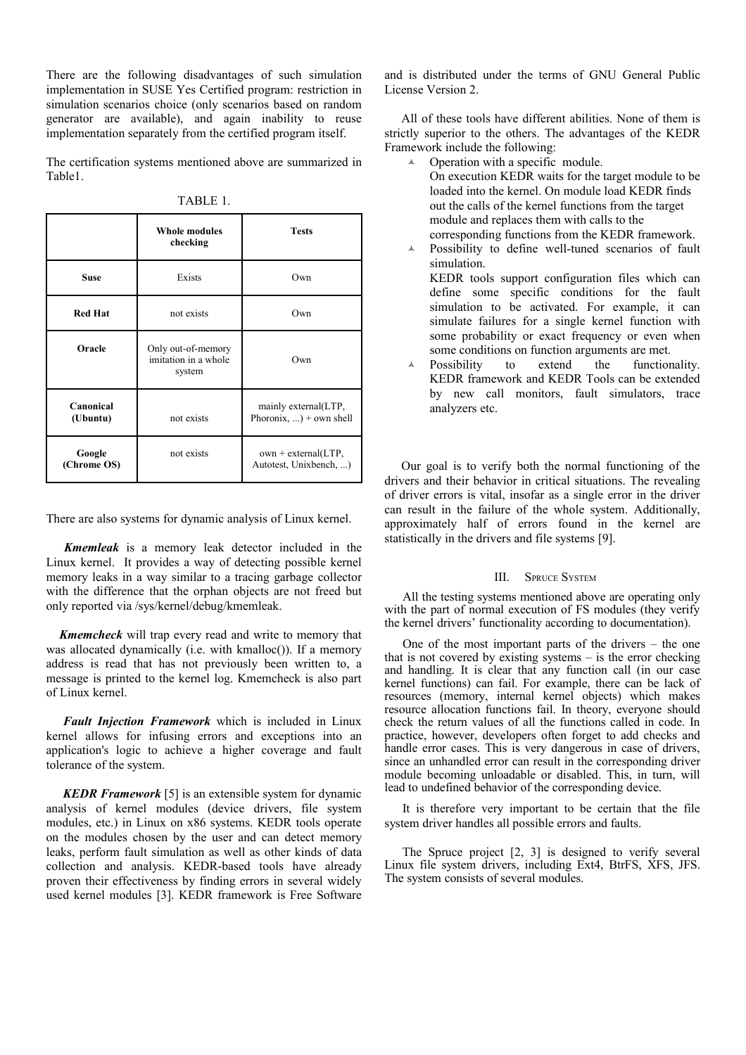There are the following disadvantages of such simulation implementation in SUSE Yes Certified program: restriction in simulation scenarios choice (only scenarios based on random generator are available), and again inability to reuse implementation separately from the certified program itself.

The certification systems mentioned above are summarized in Table1.

TABLE 1.

|                       | <b>Whole modules</b><br>checking                     | <b>Tests</b>                                      |  |
|-----------------------|------------------------------------------------------|---------------------------------------------------|--|
| <b>Suse</b>           | Exists                                               | Own                                               |  |
| <b>Red Hat</b>        | not exists                                           | Own                                               |  |
| Oracle                | Only out-of-memory<br>imitation in a whole<br>system | Own                                               |  |
| Canonical<br>(Ubuntu) | not exists                                           | mainly external(LTP,<br>Phoronix, $) +$ own shell |  |
| Google<br>(Chrome OS) | not exists                                           | $own + external(LTP,$<br>Autotest, Unixbench, )   |  |

There are also systems for dynamic analysis of Linux kernel.

*Kmemleak* is a memory leak detector included in the Linux kernel. It provides a way of detecting possible kernel memory leaks in a way similar to a tracing garbage collector with the difference that the orphan objects are not freed but only reported via /sys/kernel/debug/kmemleak.

*Kmemcheck* will trap every read and write to memory that was allocated dynamically (i.e. with kmalloc()). If a memory address is read that has not previously been written to, a message is printed to the kernel log. Kmemcheck is also part of Linux kernel.

*Fault Injection Framework* which is included in Linux kernel allows for infusing errors and exceptions into an application's logic to achieve a higher coverage and fault tolerance of the system.

*KEDR Framework* [5] is an extensible system for dynamic analysis of kernel modules (device drivers, file system modules, etc.) in Linux on x86 systems. KEDR tools operate on the modules chosen by the user and can detect memory leaks, perform fault simulation as well as other kinds of data collection and analysis. KEDR-based tools have already proven their effectiveness by finding errors in several widely used kernel modules [3]. KEDR framework is Free Software

and is distributed under the terms of GNU General Public License Version 2.

All of these tools have different abilities. None of them is strictly superior to the others. The advantages of the KEDR Framework include the following:

- $\triangle$  Operation with a specific module.
	- On execution KEDR waits for the target module to be loaded into the kernel. On module load KEDR finds out the calls of the kernel functions from the target module and replaces them with calls to the corresponding functions from the KEDR framework.
- $\triangle$  Possibility to define well-tuned scenarios of fault simulation.

KEDR tools support configuration files which can define some specific conditions for the fault simulation to be activated. For example, it can simulate failures for a single kernel function with some probability or exact frequency or even when some conditions on function arguments are met.

 Possibility to extend the functionality. KEDR framework and KEDR Tools can be extended by new call monitors, fault simulators, trace analyzers etc.

Our goal is to verify both the normal functioning of the drivers and their behavior in critical situations. The revealing of driver errors is vital, insofar as a single error in the driver can result in the failure of the whole system. Additionally, approximately half of errors found in the kernel are statistically in the drivers and file systems [9].

# III. SPRUCE SYSTEM

All the testing systems mentioned above are operating only with the part of normal execution of FS modules (they verify the kernel drivers' functionality according to documentation).

One of the most important parts of the drivers – the one that is not covered by existing systems – is the error checking and handling. It is clear that any function call (in our case kernel functions) can fail. For example, there can be lack of resources (memory, internal kernel objects) which makes resource allocation functions fail. In theory, everyone should check the return values of all the functions called in code. In practice, however, developers often forget to add checks and handle error cases. This is very dangerous in case of drivers, since an unhandled error can result in the corresponding driver module becoming unloadable or disabled. This, in turn, will lead to undefined behavior of the corresponding device.

It is therefore very important to be certain that the file system driver handles all possible errors and faults.

The Spruce project [2, 3] is designed to verify several Linux file system drivers, including Ext4, BtrFS, XFS, JFS. The system consists of several modules.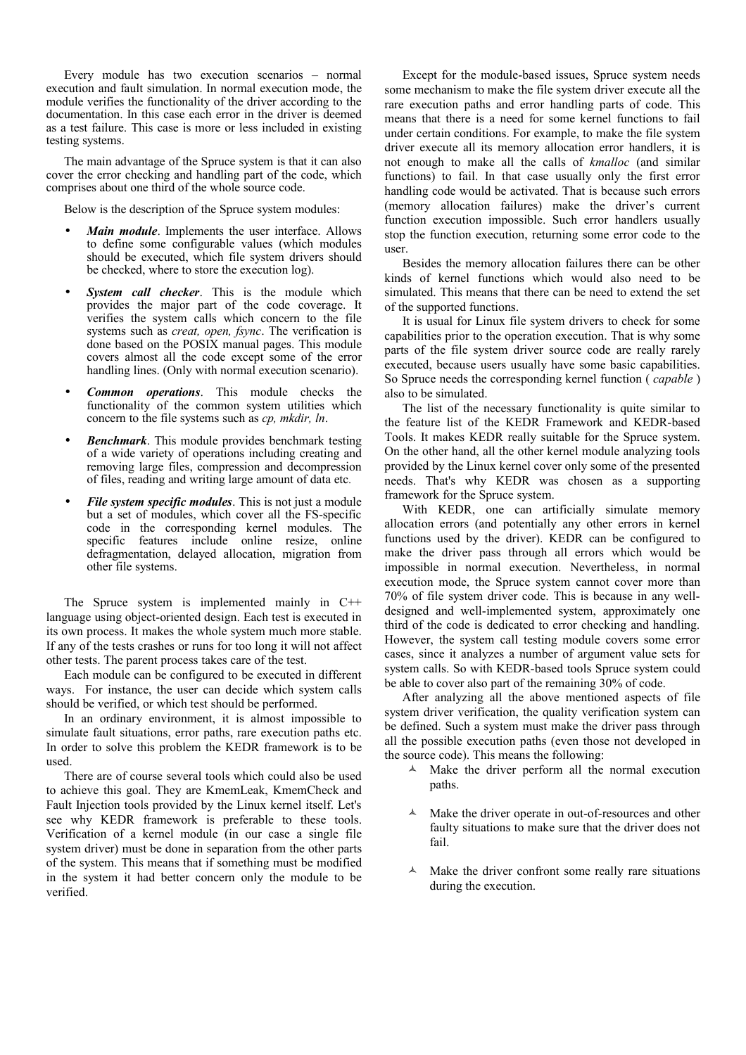Every module has two execution scenarios – normal execution and fault simulation. In normal execution mode, the module verifies the functionality of the driver according to the documentation. In this case each error in the driver is deemed as a test failure. This case is more or less included in existing testing systems.

The main advantage of the Spruce system is that it can also cover the error checking and handling part of the code, which comprises about one third of the whole source code.

Below is the description of the Spruce system modules:

- *Main module*. Implements the user interface. Allows to define some configurable values (which modules should be executed, which file system drivers should be checked, where to store the execution log).
- **System call checker**. This is the module which provides the major part of the code coverage. It verifies the system calls which concern to the file systems such as *creat, open, fsync*. The verification is done based on the POSIX manual pages. This module covers almost all the code except some of the error handling lines. (Only with normal execution scenario).
- *Common operations*. This module checks the functionality of the common system utilities which concern to the file systems such as *cp, mkdir, ln*.
- **Benchmark**. This module provides benchmark testing of a wide variety of operations including creating and removing large files, compression and decompression of files, reading and writing large amount of data etc.
- *File system specific modules*. This is not just a module but a set of modules, which cover all the FS-specific code in the corresponding kernel modules. The specific features include online resize, online defragmentation, delayed allocation, migration from other file systems.

The Spruce system is implemented mainly in C++ language using object-oriented design. Each test is executed in its own process. It makes the whole system much more stable. If any of the tests crashes or runs for too long it will not affect other tests. The parent process takes care of the test.

Each module can be configured to be executed in different ways. For instance, the user can decide which system calls should be verified, or which test should be performed.

In an ordinary environment, it is almost impossible to simulate fault situations, error paths, rare execution paths etc. In order to solve this problem the KEDR framework is to be used.

There are of course several tools which could also be used to achieve this goal. They are KmemLeak, KmemCheck and Fault Injection tools provided by the Linux kernel itself. Let's see why KEDR framework is preferable to these tools. Verification of a kernel module (in our case a single file system driver) must be done in separation from the other parts of the system. This means that if something must be modified in the system it had better concern only the module to be verified.

Except for the module-based issues, Spruce system needs some mechanism to make the file system driver execute all the rare execution paths and error handling parts of code. This means that there is a need for some kernel functions to fail under certain conditions. For example, to make the file system driver execute all its memory allocation error handlers, it is not enough to make all the calls of *kmalloc* (and similar functions) to fail. In that case usually only the first error handling code would be activated. That is because such errors (memory allocation failures) make the driver's current function execution impossible. Such error handlers usually stop the function execution, returning some error code to the user.

Besides the memory allocation failures there can be other kinds of kernel functions which would also need to be simulated. This means that there can be need to extend the set of the supported functions.

It is usual for Linux file system drivers to check for some capabilities prior to the operation execution. That is why some parts of the file system driver source code are really rarely executed, because users usually have some basic capabilities. So Spruce needs the corresponding kernel function ( *capable* ) also to be simulated.

The list of the necessary functionality is quite similar to the feature list of the KEDR Framework and KEDR-based Tools. It makes KEDR really suitable for the Spruce system. On the other hand, all the other kernel module analyzing tools provided by the Linux kernel cover only some of the presented needs. That's why KEDR was chosen as a supporting framework for the Spruce system.

With KEDR, one can artificially simulate memory allocation errors (and potentially any other errors in kernel functions used by the driver). KEDR can be configured to make the driver pass through all errors which would be impossible in normal execution. Nevertheless, in normal execution mode, the Spruce system cannot cover more than 70% of file system driver code. This is because in any welldesigned and well-implemented system, approximately one third of the code is dedicated to error checking and handling. However, the system call testing module covers some error cases, since it analyzes a number of argument value sets for system calls. So with KEDR-based tools Spruce system could be able to cover also part of the remaining 30% of code.

After analyzing all the above mentioned aspects of file system driver verification, the quality verification system can be defined. Such a system must make the driver pass through all the possible execution paths (even those not developed in the source code). This means the following:

- $\triangle$  Make the driver perform all the normal execution paths.
- Make the driver operate in out-of-resources and other faulty situations to make sure that the driver does not fail.
- $\lambda$  Make the driver confront some really rare situations during the execution.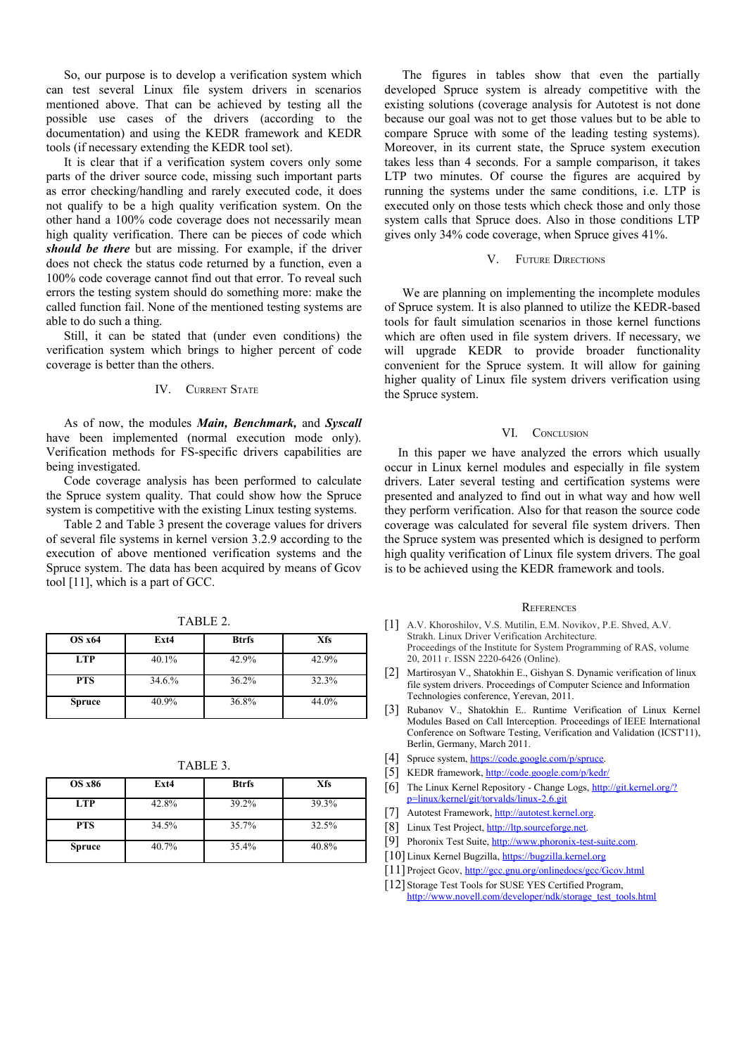So, our purpose is to develop a verification system which can test several Linux file system drivers in scenarios mentioned above. That can be achieved by testing all the possible use cases of the drivers (according to the documentation) and using the KEDR framework and KEDR tools (if necessary extending the KEDR tool set).

It is clear that if a verification system covers only some parts of the driver source code, missing such important parts as error checking/handling and rarely executed code, it does not qualify to be a high quality verification system. On the other hand a 100% code coverage does not necessarily mean high quality verification. There can be pieces of code which *should be there* but are missing. For example, if the driver does not check the status code returned by a function, even a 100% code coverage cannot find out that error. To reveal such errors the testing system should do something more: make the called function fail. None of the mentioned testing systems are able to do such a thing.

Still, it can be stated that (under even conditions) the verification system which brings to higher percent of code coverage is better than the others.

#### IV. CURRENT STATE

As of now, the modules *Main, Benchmark,* and *Syscall* have been implemented (normal execution mode only). Verification methods for FS-specific drivers capabilities are being investigated.

Code coverage analysis has been performed to calculate the Spruce system quality. That could show how the Spruce system is competitive with the existing Linux testing systems.

Table 2 and Table 3 present the coverage values for drivers of several file systems in kernel version 3.2.9 according to the execution of above mentioned verification systems and the Spruce system. The data has been acquired by means of Gcov tool [11], which is a part of GCC.

| -Bì |
|-----|
|-----|

| OS x64        | Ext4   | <b>Btrfs</b> | Xfs   |
|---------------|--------|--------------|-------|
| <b>LTP</b>    | 40.1%  | 42.9%        | 42.9% |
| <b>PTS</b>    | 34.6.% | 36.2%        | 32.3% |
| <b>Spruce</b> | 40.9%  | 36.8%        | 44.0% |

TABLE 3.

| <b>OS x86</b> | Ext4  | <b>Btrfs</b> | Xfs   |
|---------------|-------|--------------|-------|
| <b>LTP</b>    | 42.8% | 39.2%        | 39.3% |
| <b>PTS</b>    | 34.5% | 35.7%        | 32.5% |
| <b>Spruce</b> | 40.7% | 35.4%        | 40.8% |

The figures in tables show that even the partially developed Spruce system is already competitive with the existing solutions (coverage analysis for Autotest is not done because our goal was not to get those values but to be able to compare Spruce with some of the leading testing systems). Moreover, in its current state, the Spruce system execution takes less than 4 seconds. For a sample comparison, it takes LTP two minutes. Of course the figures are acquired by running the systems under the same conditions, i.e. LTP is executed only on those tests which check those and only those system calls that Spruce does. Also in those conditions LTP gives only 34% code coverage, when Spruce gives 41%.

# V. FUTURE DIRECTIONS

We are planning on implementing the incomplete modules of Spruce system. It is also planned to utilize the KEDR-based tools for fault simulation scenarios in those kernel functions which are often used in file system drivers. If necessary, we will upgrade KEDR to provide broader functionality convenient for the Spruce system. It will allow for gaining higher quality of Linux file system drivers verification using the Spruce system.

# VI. CONCLUSION

In this paper we have analyzed the errors which usually occur in Linux kernel modules and especially in file system drivers. Later several testing and certification systems were presented and analyzed to find out in what way and how well they perform verification. Also for that reason the source code coverage was calculated for several file system drivers. Then the Spruce system was presented which is designed to perform high quality verification of Linux file system drivers. The goal is to be achieved using the KEDR framework and tools.

#### **REFERENCES**

- [1] A.V. Khoroshilov, V.S. Mutilin, E.M. Novikov, P.E. Shved, A.V. Strakh. Linux Driver Verification Architecture. Proceedings of the Institute for System Programming of RAS, volume 20, 2011 г. ISSN 2220-6426 (Online).
- [2] Martirosyan V., Shatokhin E., Gishyan S. Dynamic verification of linux file system drivers. Proceedings of Computer Science and Information Technologies conference, Yerevan, 2011.
- [3] Rubanov V., Shatokhin E.. Runtime Verification of Linux Kernel Modules Based on Call Interception. Proceedings of IEEE International Conference on Software Testing, Verification and Validation (ICST'11), Berlin, Germany, March 2011.
- [4] Spruce system, [https://code.google.com/p/spruce.](https://code.google.com/p/spruce)
- [5] KEDR framework, <http://code.google.com/p/kedr/>
- [6] The Linux Kernel Repository Change Logs, [http://git.kernel.org/?](http://git.kernel.org/?p=linux/kernel/git/torvalds/linux-2.6.git) [p=linux/kernel/git/torvalds/linux-2.6.git](http://git.kernel.org/?p=linux/kernel/git/torvalds/linux-2.6.git)
- [7] Autotest Framework, [http://autotest.kernel.org.](http://autotest.kernel.org/)
- [8] Linux Test Project, [http://ltp.sourceforge.net.](http://ltp.sourceforge.net/)
- [9] Phoronix Test Suite, [http://www.phoronix-test-suite.com.](http://www.phoronix-test-suite.com/)
- [10] Linux Kernel Bugzilla, [https://bugzilla.kernel.org](https://bugzilla.kernel.org/)
- [11] Project Gcov, <http://gcc.gnu.org/onlinedocs/gcc/Gcov.html>
- [12] Storage Test Tools for SUSE YES Certified Program, [http://www.novell.com/developer/ndk/storage\\_test\\_tools.html](http://www.novell.com/developer/ndk/storage_test_tools.html)